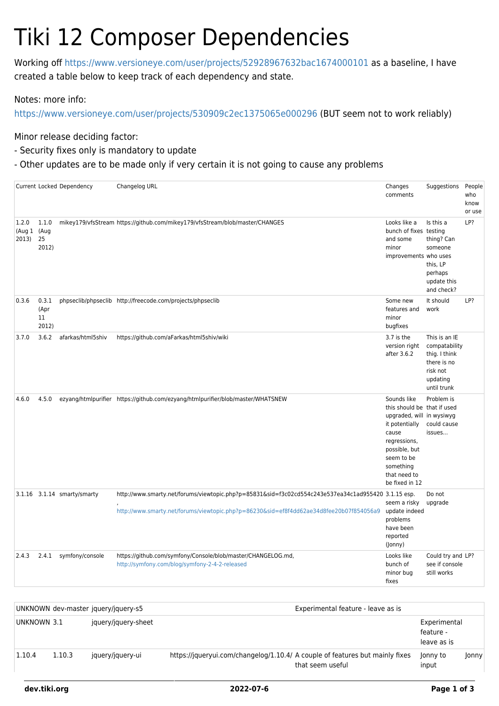## Tiki 12 Composer Dependencies

Working off<https://www.versioneye.com/user/projects/52928967632bac1674000101>as a baseline, I have created a table below to keep track of each dependency and state.

Notes: more info:

<https://www.versioneye.com/user/projects/530909c2ec1375065e000296>(BUT seem not to work reliably)

Minor release deciding factor:

- Security fixes only is mandatory to update
- Other updates are to be made only if very certain it is not going to cause any problems

|                                  |                              | Current Locked Dependency   | Changelog URL                                                                                                                                                                                  | Changes<br>comments                                                                                                                                                                              | Suggestions                                                                                           | People<br>who<br>know<br>or use |
|----------------------------------|------------------------------|-----------------------------|------------------------------------------------------------------------------------------------------------------------------------------------------------------------------------------------|--------------------------------------------------------------------------------------------------------------------------------------------------------------------------------------------------|-------------------------------------------------------------------------------------------------------|---------------------------------|
| 1.2.0<br>(Aug 1 (Aug<br>2013) 25 | 1.1.0<br>2012)               |                             | mikey179/vfsStream https://github.com/mikey179/vfsStream/blob/master/CHANGES                                                                                                                   | Looks like a<br>bunch of fixes testing<br>and some<br>minor<br>improvements who uses                                                                                                             | Is this a<br>thing? Can<br>someone<br>this, LP<br>perhaps<br>update this<br>and check?                | LP?                             |
| 0.3.6                            | 0.3.1<br>(Apr<br>11<br>2012) |                             | phpseclib/phpseclib http://freecode.com/projects/phpseclib                                                                                                                                     | Some new<br>features and<br>minor<br>bugfixes                                                                                                                                                    | It should<br>work                                                                                     | LP?                             |
| 3.7.0                            | 3.6.2                        | afarkas/html5shiv           | https://github.com/aFarkas/html5shiv/wiki                                                                                                                                                      | 3.7 is the<br>version right<br>after 3.6.2                                                                                                                                                       | This is an IE<br>compatability<br>thig. I think<br>there is no<br>risk not<br>updating<br>until trunk |                                 |
| 4.6.0                            | 4.5.0                        |                             | ezyang/htmlpurifier https://github.com/ezyang/htmlpurifier/blob/master/WHATSNEW                                                                                                                | Sounds like<br>this should be that if used<br>upgraded, will in wysiwyg<br>it potentially<br>cause<br>regressions,<br>possible, but<br>seem to be<br>something<br>that need to<br>be fixed in 12 | Problem is<br>could cause<br>issues                                                                   |                                 |
|                                  |                              | 3.1.16 3.1.14 smarty/smarty | http://www.smarty.net/forums/viewtopic.php?p=85831&sid=f3c02cd554c243e537ea34c1ad955420 3.1.15 esp.<br>http://www.smarty.net/forums/viewtopic.php?p=86230&sid=ef8f4dd62ae34d8fee20b07f854056a9 | seem a risky<br>update indeed<br>problems<br>have been<br>reported<br>(Jonny)                                                                                                                    | Do not<br>upgrade                                                                                     |                                 |
| 2.4.3                            | 2.4.1                        | symfony/console             | https://github.com/symfony/Console/blob/master/CHANGELOG.md,<br>http://symfony.com/blog/symfony-2-4-2-released                                                                                 | Looks like<br>bunch of<br>minor bug<br>fixes                                                                                                                                                     | Could try and LP?<br>see if console<br>still works                                                    |                                 |

|             |        | UNKNOWN dev-master jquery/jquery-s5 | Experimental feature - leave as is                                                               |                                          |       |  |  |
|-------------|--------|-------------------------------------|--------------------------------------------------------------------------------------------------|------------------------------------------|-------|--|--|
| UNKNOWN 3.1 |        | jquery/jquery-sheet                 |                                                                                                  | Experimental<br>feature -<br>leave as is |       |  |  |
| 1.10.4      | 1.10.3 | jquery/jquery-ui                    | https://jqueryui.com/changelog/1.10.4/ A couple of features but mainly fixes<br>that seem useful | Jonny to<br>input                        | Jonny |  |  |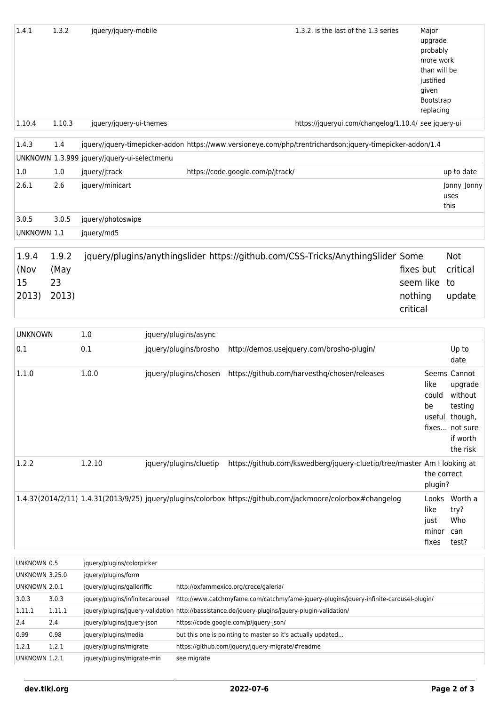| 1.4.1                                  | 1.3.2  | jquery/jquery-mobile                              |                        |                                       | 1.3.2, is the last of the 1.3 series                                                                        | Major<br>upgrade<br>probably<br>more work<br>than will be<br>justified<br>given<br>Bootstrap<br>replacing |                             |
|----------------------------------------|--------|---------------------------------------------------|------------------------|---------------------------------------|-------------------------------------------------------------------------------------------------------------|-----------------------------------------------------------------------------------------------------------|-----------------------------|
| 1.10.4                                 | 1.10.3 | jquery/jquery-ui-themes                           |                        |                                       | https://jqueryui.com/changelog/1.10.4/ see jquery-ui                                                        |                                                                                                           |                             |
|                                        |        |                                                   |                        |                                       |                                                                                                             |                                                                                                           |                             |
| 1.4.3                                  | 1.4    |                                                   |                        |                                       | jquery/jquery-timepicker-addon https://www.versioneye.com/php/trentrichardson:jquery-timepicker-addon/1.4   |                                                                                                           |                             |
|                                        |        | UNKNOWN 1.3.999 jquery/jquery-ui-selectmenu       |                        |                                       |                                                                                                             |                                                                                                           |                             |
| 1.0                                    | 1.0    | jquery/jtrack                                     |                        | https://code.google.com/p/jtrack/     |                                                                                                             |                                                                                                           | up to date                  |
| 2.6.1                                  | 2.6    | jquery/minicart                                   |                        |                                       |                                                                                                             |                                                                                                           | Jonny Jonny<br>uses<br>this |
| 3.0.5                                  | 3.0.5  | jquery/photoswipe                                 |                        |                                       |                                                                                                             |                                                                                                           |                             |
| UNKNOWN 1.1                            |        | jquery/md5                                        |                        |                                       |                                                                                                             |                                                                                                           |                             |
|                                        |        |                                                   |                        |                                       |                                                                                                             |                                                                                                           |                             |
| 1.9.4                                  | 1.9.2  |                                                   |                        |                                       | jquery/plugins/anythingslider https://github.com/CSS-Tricks/AnythingSlider Some                             |                                                                                                           | <b>Not</b>                  |
| (Nov                                   | (May   |                                                   |                        |                                       |                                                                                                             | fixes but                                                                                                 | critical                    |
| 15                                     | 23     |                                                   |                        |                                       |                                                                                                             | seem like                                                                                                 | to                          |
| 2013)                                  | 2013)  |                                                   |                        |                                       |                                                                                                             | nothing                                                                                                   | update                      |
|                                        |        |                                                   |                        |                                       |                                                                                                             | critical                                                                                                  |                             |
| <b>UNKNOWN</b>                         |        | 1.0                                               | jquery/plugins/async   |                                       |                                                                                                             |                                                                                                           |                             |
| 0.1                                    |        | 0.1                                               | jquery/plugins/brosho  |                                       | http://demos.usejquery.com/brosho-plugin/                                                                   |                                                                                                           | Up to                       |
|                                        |        |                                                   |                        |                                       |                                                                                                             |                                                                                                           | date                        |
| 1.1.0                                  |        | 1.0.0                                             | jquery/plugins/chosen  |                                       | https://github.com/harvesthq/chosen/releases                                                                | like                                                                                                      | Seems Cannot<br>upgrade     |
|                                        |        |                                                   |                        |                                       |                                                                                                             |                                                                                                           | could without               |
|                                        |        |                                                   |                        |                                       |                                                                                                             | be                                                                                                        | testing                     |
|                                        |        |                                                   |                        |                                       |                                                                                                             |                                                                                                           | useful though,              |
|                                        |        |                                                   |                        |                                       |                                                                                                             |                                                                                                           | fixes not sure<br>if worth  |
|                                        |        |                                                   |                        |                                       |                                                                                                             |                                                                                                           | the risk                    |
| 1.2.2                                  |        | 1.2.10                                            | jquery/plugins/cluetip |                                       | https://github.com/kswedberg/jquery-cluetip/tree/master Am I looking at                                     |                                                                                                           |                             |
|                                        |        |                                                   |                        |                                       |                                                                                                             |                                                                                                           | the correct                 |
|                                        |        |                                                   |                        |                                       |                                                                                                             | plugin?                                                                                                   |                             |
|                                        |        |                                                   |                        |                                       | 1.4.37(2014/2/11) 1.4.31(2013/9/25) jquery/plugins/colorbox https://github.com/jackmoore/colorbox#changelog |                                                                                                           | Looks Worth a               |
|                                        |        |                                                   |                        |                                       |                                                                                                             | like                                                                                                      | try?<br>Who                 |
|                                        |        |                                                   |                        |                                       |                                                                                                             | just<br>minor                                                                                             | can                         |
|                                        |        |                                                   |                        |                                       |                                                                                                             | fixes                                                                                                     | test?                       |
|                                        |        |                                                   |                        |                                       |                                                                                                             |                                                                                                           |                             |
| UNKNOWN 0.5                            |        | jquery/plugins/colorpicker                        |                        |                                       |                                                                                                             |                                                                                                           |                             |
| <b>UNKNOWN 3.25.0</b><br>UNKNOWN 2.0.1 |        | jquery/plugins/form<br>iquery/plugins/galleriffic |                        | http://oxfammexico.org/crece/galeria/ |                                                                                                             |                                                                                                           |                             |

| <b>UNKNOWN 3.25.0</b> |        | jquery/plugins/form             |                                                                                                 |
|-----------------------|--------|---------------------------------|-------------------------------------------------------------------------------------------------|
| UNKNOWN 2.0.1         |        | jquery/plugins/galleriffic      | http://oxfammexico.org/crece/galeria/                                                           |
| 3.0.3                 | 3.0.3  | jquery/plugins/infinitecarousel | http://www.catchmyfame.com/catchmyfame-jquery-plugins/jquery-infinite-carousel-plugin/          |
| 1.11.1                | 1.11.1 |                                 | jquery/plugins/jquery-validation http://bassistance.de/jquery-plugins/jquery-plugin-validation/ |
| 2.4                   | 2.4    | jquery/plugins/jquery-json      | https://code.google.com/p/jquery-json/                                                          |
| 0.99                  | 0.98   | jquery/plugins/media            | but this one is pointing to master so it's actually updated                                     |
| 1.2.1                 | 1.2.1  | jquery/plugins/migrate          | https://github.com/jquery/jquery-migrate/#readme                                                |
| UNKNOWN 1.2.1         |        | jquery/plugins/migrate-min      | see migrate                                                                                     |
|                       |        |                                 |                                                                                                 |